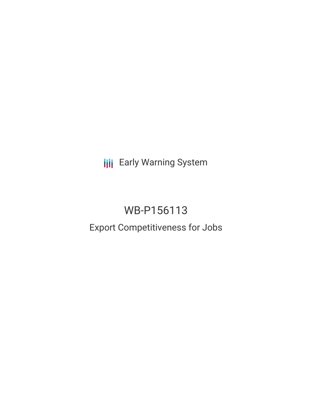**III** Early Warning System

# WB-P156113

# Export Competitiveness for Jobs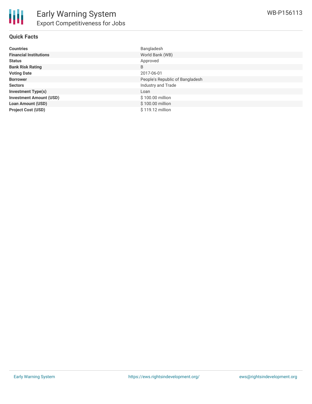

## **Quick Facts**

| <b>Countries</b>               | Bangladesh                      |
|--------------------------------|---------------------------------|
| <b>Financial Institutions</b>  | World Bank (WB)                 |
| <b>Status</b>                  | Approved                        |
| <b>Bank Risk Rating</b>        | B                               |
| <b>Voting Date</b>             | 2017-06-01                      |
| <b>Borrower</b>                | People's Republic of Bangladesh |
| <b>Sectors</b>                 | Industry and Trade              |
| <b>Investment Type(s)</b>      | Loan                            |
| <b>Investment Amount (USD)</b> | \$100.00 million                |
| <b>Loan Amount (USD)</b>       | \$100.00 million                |
| <b>Project Cost (USD)</b>      | \$119.12 million                |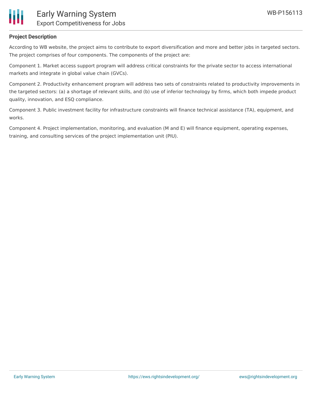

## **Project Description**

According to WB website, the project aims to contribute to export diversification and more and better jobs in targeted sectors. The project comprises of four components. The components of the project are:

Component 1. Market access support program will address critical constraints for the private sector to access international markets and integrate in global value chain (GVCs).

Component 2. Productivity enhancement program will address two sets of constraints related to productivity improvements in the targeted sectors: (a) a shortage of relevant skills, and (b) use of inferior technology by firms, which both impede product quality, innovation, and ESQ compliance.

Component 3. Public investment facility for infrastructure constraints will finance technical assistance (TA), equipment, and works.

Component 4. Project implementation, monitoring, and evaluation (M and E) will finance equipment, operating expenses, training, and consulting services of the project implementation unit (PIU).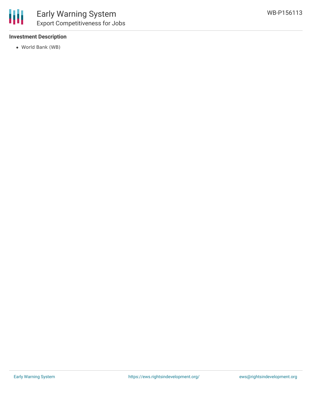#### **Investment Description**

World Bank (WB)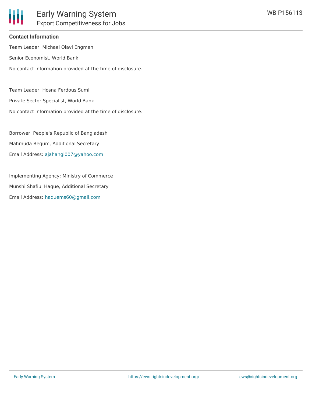

#### **Contact Information**

Team Leader: Michael Olavi Engman Senior Economist, World Bank No contact information provided at the time of disclosure.

Team Leader: Hosna Ferdous Sumi

Private Sector Specialist, World Bank

No contact information provided at the time of disclosure.

Borrower: People's Republic of Bangladesh Mahmuda Begum, Additional Secretary Email Address: [ajahangi007@yahoo.com](mailto:ajahangi007@yahoo.com)

Implementing Agency: Ministry of Commerce Munshi Shafiul Haque, Additional Secretary Email Address: [haquems60@gmail.com](mailto:haquems60@gmail.com)